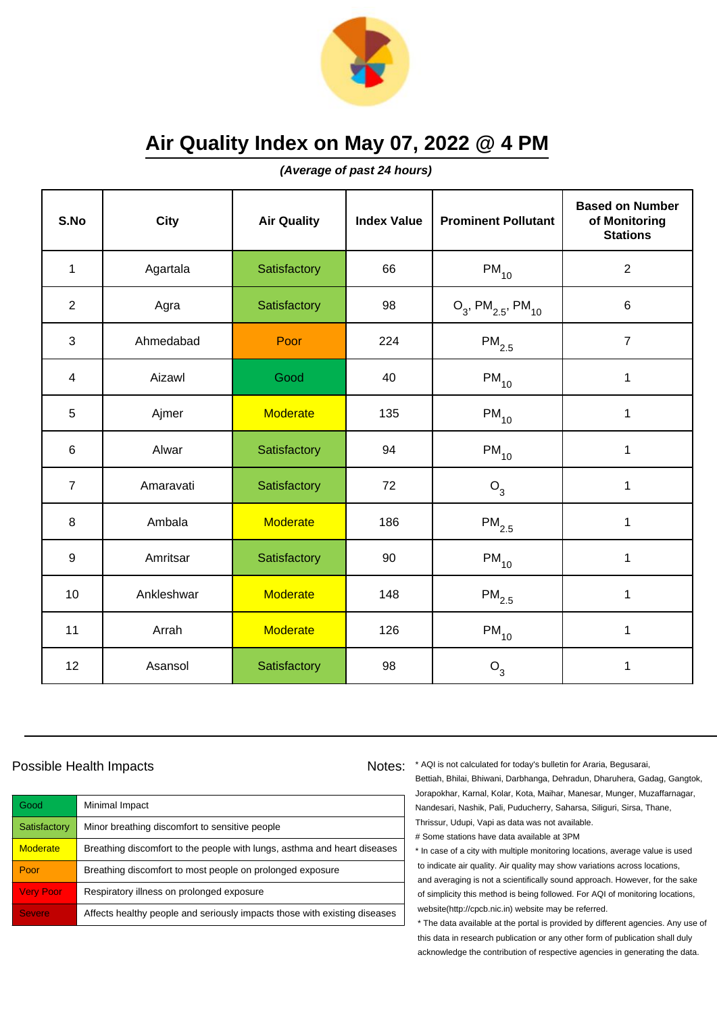

**(Average of past 24 hours)**

| S.No             | <b>City</b> | <b>Air Quality</b> | <b>Index Value</b> | <b>Prominent Pollutant</b>                   | <b>Based on Number</b><br>of Monitoring<br><b>Stations</b> |
|------------------|-------------|--------------------|--------------------|----------------------------------------------|------------------------------------------------------------|
| $\mathbf{1}$     | Agartala    | Satisfactory       | 66                 | $PM_{10}$                                    | $\overline{2}$                                             |
| $\overline{2}$   | Agra        | Satisfactory       | 98                 | $O_3$ , PM <sub>2.5</sub> , PM <sub>10</sub> | 6                                                          |
| 3                | Ahmedabad   | Poor               | 224                | $\mathsf{PM}_{2.5}$                          | $\overline{7}$                                             |
| $\overline{4}$   | Aizawl      | Good               | 40                 | $PM_{10}$                                    | $\mathbf{1}$                                               |
| 5                | Ajmer       | <b>Moderate</b>    | 135                | $PM_{10}$                                    | $\mathbf 1$                                                |
| 6                | Alwar       | Satisfactory       | 94                 | $PM_{10}$                                    | 1                                                          |
| $\overline{7}$   | Amaravati   | Satisfactory       | 72                 | $O_3$                                        | $\mathbf 1$                                                |
| 8                | Ambala      | <b>Moderate</b>    | 186                | $PM_{2.5}$                                   | $\mathbf{1}$                                               |
| $\boldsymbol{9}$ | Amritsar    | Satisfactory       | 90                 | $PM_{10}$                                    | $\mathbf{1}$                                               |
| 10               | Ankleshwar  | <b>Moderate</b>    | 148                | $PM_{2.5}$                                   | $\mathbf 1$                                                |
| 11               | Arrah       | <b>Moderate</b>    | 126                | $PM_{10}$                                    | 1                                                          |
| 12               | Asansol     | Satisfactory       | 98                 | $O_3$                                        | $\mathbf 1$                                                |

#### Possible Health Impacts

| Good             | Minimal Impact                                                            |
|------------------|---------------------------------------------------------------------------|
| Satisfactory     | Minor breathing discomfort to sensitive people                            |
| <b>Moderate</b>  | Breathing discomfort to the people with lungs, asthma and heart diseases  |
| Poor             | Breathing discomfort to most people on prolonged exposure                 |
| <b>Very Poor</b> | Respiratory illness on prolonged exposure                                 |
| <b>Severe</b>    | Affects healthy people and seriously impacts those with existing diseases |

Notes: \* AQI is not calculated for today's bulletin for Araria, Begusarai, Bettiah, Bhilai, Bhiwani, Darbhanga, Dehradun, Dharuhera, Gadag, Gangtok, Jorapokhar, Karnal, Kolar, Kota, Maihar, Manesar, Munger, Muzaffarnagar, Nandesari, Nashik, Pali, Puducherry, Saharsa, Siliguri, Sirsa, Thane, Thrissur, Udupi, Vapi as data was not available. # Some stations have data available at 3PM

> \* In case of a city with multiple monitoring locations, average value is used to indicate air quality. Air quality may show variations across locations, and averaging is not a scientifically sound approach. However, for the sake of simplicity this method is being followed. For AQI of monitoring locations, website(http://cpcb.nic.in) website may be referred.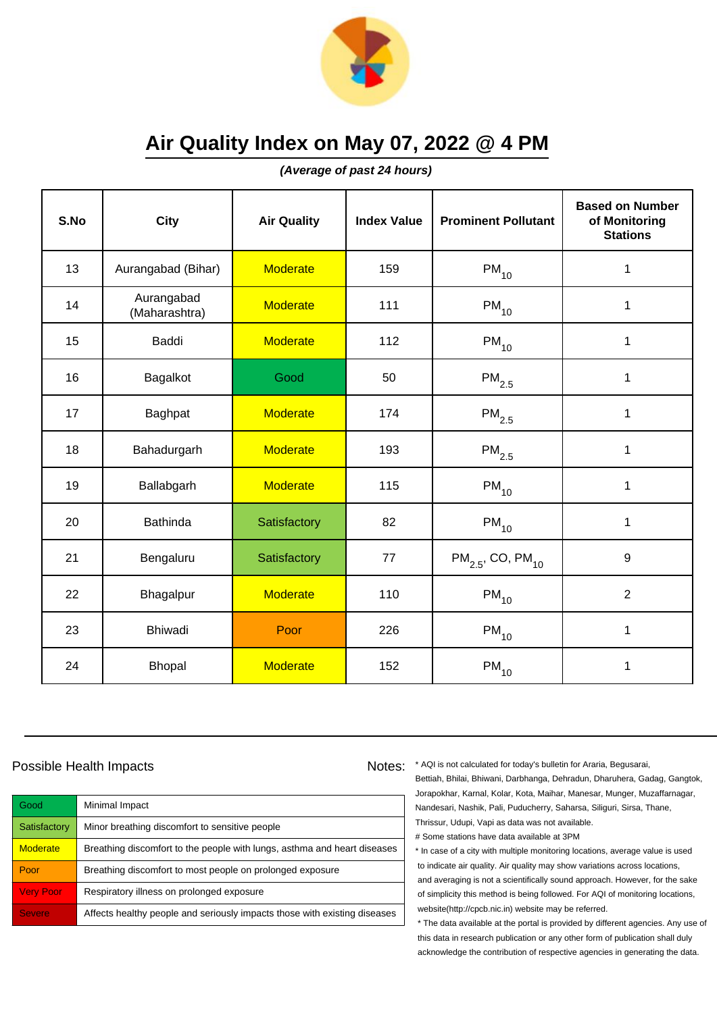

**(Average of past 24 hours)**

| S.No | City                        | <b>Air Quality</b> | <b>Index Value</b> | <b>Prominent Pollutant</b>        | <b>Based on Number</b><br>of Monitoring<br><b>Stations</b> |
|------|-----------------------------|--------------------|--------------------|-----------------------------------|------------------------------------------------------------|
| 13   | Aurangabad (Bihar)          | <b>Moderate</b>    | 159                | $\mathsf{PM}_{10}$                | $\mathbf 1$                                                |
| 14   | Aurangabad<br>(Maharashtra) | <b>Moderate</b>    | 111                | $\mathsf{PM}_{10}$                | $\mathbf 1$                                                |
| 15   | <b>Baddi</b>                | <b>Moderate</b>    | 112                | $PM_{10}$                         | 1                                                          |
| 16   | Bagalkot                    | Good               | 50                 | $PM_{2.5}$                        | 1                                                          |
| 17   | Baghpat                     | <b>Moderate</b>    | 174                | $PM_{2.5}$                        | $\mathbf 1$                                                |
| 18   | Bahadurgarh                 | <b>Moderate</b>    | 193                | $\mathsf{PM}_{2.5}$               | 1                                                          |
| 19   | Ballabgarh                  | <b>Moderate</b>    | 115                | $PM_{10}$                         | 1                                                          |
| 20   | <b>Bathinda</b>             | Satisfactory       | 82                 | $PM_{10}$                         | $\mathbf{1}$                                               |
| 21   | Bengaluru                   | Satisfactory       | 77                 | $PM_{2.5}$ , CO, PM <sub>10</sub> | 9                                                          |
| 22   | Bhagalpur                   | <b>Moderate</b>    | 110                | $PM_{10}$                         | $\overline{2}$                                             |
| 23   | <b>Bhiwadi</b>              | Poor               | 226                | $PM_{10}$                         | $\mathbf{1}$                                               |
| 24   | <b>Bhopal</b>               | <b>Moderate</b>    | 152                | $PM_{10}$                         | 1                                                          |

#### Possible Health Impacts

| Good             | Minimal Impact                                                            |
|------------------|---------------------------------------------------------------------------|
| Satisfactory     | Minor breathing discomfort to sensitive people                            |
| <b>Moderate</b>  | Breathing discomfort to the people with lungs, asthma and heart diseases  |
| Poor             | Breathing discomfort to most people on prolonged exposure                 |
| <b>Very Poor</b> | Respiratory illness on prolonged exposure                                 |
| <b>Severe</b>    | Affects healthy people and seriously impacts those with existing diseases |

Notes: \* AQI is not calculated for today's bulletin for Araria, Begusarai, Bettiah, Bhilai, Bhiwani, Darbhanga, Dehradun, Dharuhera, Gadag, Gangtok, Jorapokhar, Karnal, Kolar, Kota, Maihar, Manesar, Munger, Muzaffarnagar, Nandesari, Nashik, Pali, Puducherry, Saharsa, Siliguri, Sirsa, Thane, Thrissur, Udupi, Vapi as data was not available. # Some stations have data available at 3PM

> \* In case of a city with multiple monitoring locations, average value is used to indicate air quality. Air quality may show variations across locations, and averaging is not a scientifically sound approach. However, for the sake of simplicity this method is being followed. For AQI of monitoring locations, website(http://cpcb.nic.in) website may be referred.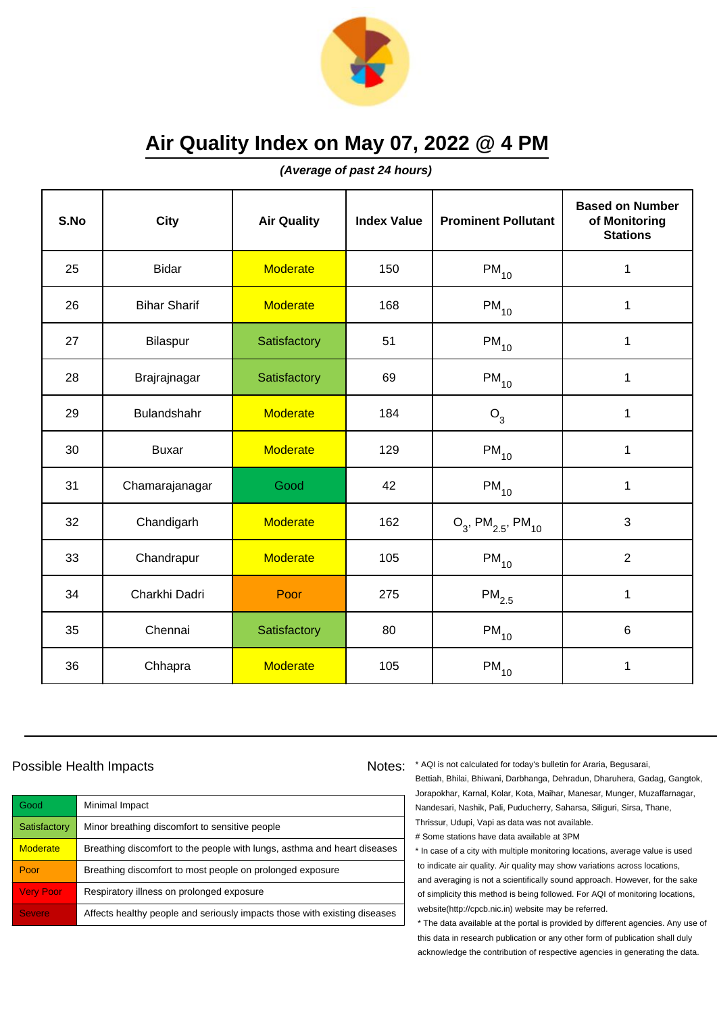

**(Average of past 24 hours)**

| S.No | City                | <b>Air Quality</b> | <b>Index Value</b> | <b>Prominent Pollutant</b>                   | <b>Based on Number</b><br>of Monitoring<br><b>Stations</b> |
|------|---------------------|--------------------|--------------------|----------------------------------------------|------------------------------------------------------------|
| 25   | <b>Bidar</b>        | <b>Moderate</b>    | 150                | $PM_{10}$                                    | $\mathbf 1$                                                |
| 26   | <b>Bihar Sharif</b> | <b>Moderate</b>    | 168                | $PM_{10}$                                    | 1                                                          |
| 27   | Bilaspur            | Satisfactory       | 51                 | $PM_{10}$                                    | 1                                                          |
| 28   | Brajrajnagar        | Satisfactory       | 69                 | $PM_{10}$                                    | 1                                                          |
| 29   | Bulandshahr         | <b>Moderate</b>    | 184                | $O_3$                                        | $\mathbf 1$                                                |
| 30   | <b>Buxar</b>        | <b>Moderate</b>    | 129                | $PM_{10}$                                    | 1                                                          |
| 31   | Chamarajanagar      | Good               | 42                 | $PM_{10}$                                    | 1                                                          |
| 32   | Chandigarh          | <b>Moderate</b>    | 162                | $O_3$ , PM <sub>2.5</sub> , PM <sub>10</sub> | 3                                                          |
| 33   | Chandrapur          | <b>Moderate</b>    | 105                | $PM_{10}$                                    | $\overline{2}$                                             |
| 34   | Charkhi Dadri       | Poor               | 275                | $PM_{2.5}$                                   | 1                                                          |
| 35   | Chennai             | Satisfactory       | 80                 | $PM_{10}$                                    | 6                                                          |
| 36   | Chhapra             | <b>Moderate</b>    | 105                | $\mathsf{PM}_{10}$                           | 1                                                          |

#### Possible Health Impacts

| Good             | Minimal Impact                                                            |
|------------------|---------------------------------------------------------------------------|
| Satisfactory     | Minor breathing discomfort to sensitive people                            |
| <b>Moderate</b>  | Breathing discomfort to the people with lungs, asthma and heart diseases  |
| Poor             | Breathing discomfort to most people on prolonged exposure                 |
| <b>Very Poor</b> | Respiratory illness on prolonged exposure                                 |
| <b>Severe</b>    | Affects healthy people and seriously impacts those with existing diseases |

Notes: \* AQI is not calculated for today's bulletin for Araria, Begusarai, Bettiah, Bhilai, Bhiwani, Darbhanga, Dehradun, Dharuhera, Gadag, Gangtok, Jorapokhar, Karnal, Kolar, Kota, Maihar, Manesar, Munger, Muzaffarnagar, Nandesari, Nashik, Pali, Puducherry, Saharsa, Siliguri, Sirsa, Thane, Thrissur, Udupi, Vapi as data was not available. # Some stations have data available at 3PM

> \* In case of a city with multiple monitoring locations, average value is used to indicate air quality. Air quality may show variations across locations, and averaging is not a scientifically sound approach. However, for the sake of simplicity this method is being followed. For AQI of monitoring locations, website(http://cpcb.nic.in) website may be referred.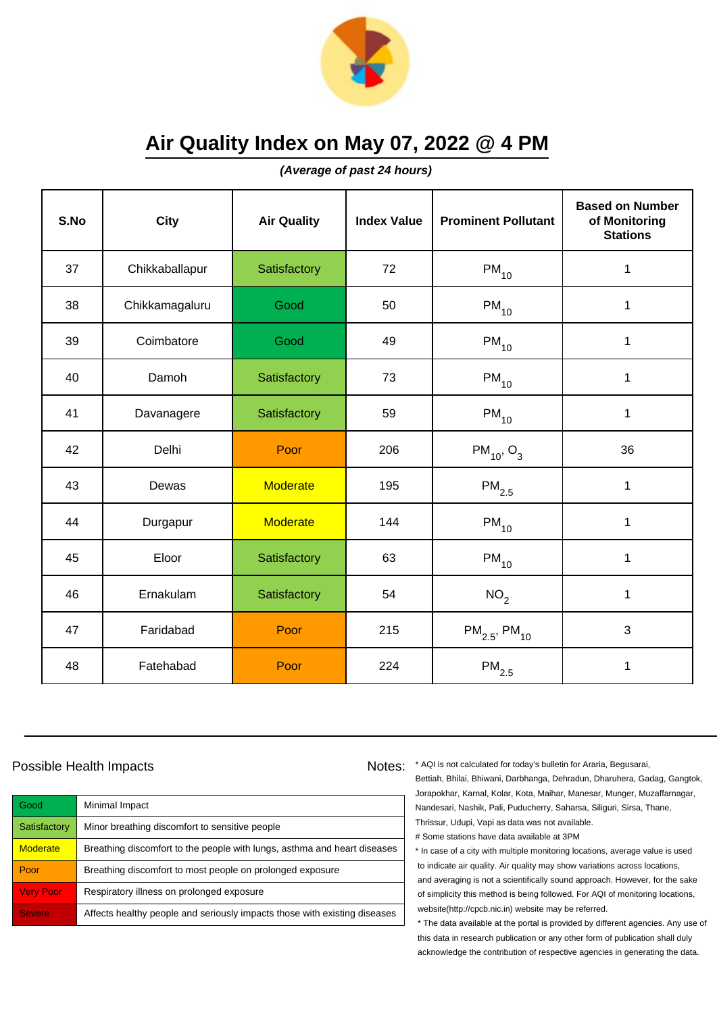

**(Average of past 24 hours)**

| S.No | City           | <b>Air Quality</b> | <b>Index Value</b> | <b>Prominent Pollutant</b>    | <b>Based on Number</b><br>of Monitoring<br><b>Stations</b> |
|------|----------------|--------------------|--------------------|-------------------------------|------------------------------------------------------------|
| 37   | Chikkaballapur | Satisfactory       | 72                 | $PM_{10}$                     | 1                                                          |
| 38   | Chikkamagaluru | Good               | 50                 | $PM_{10}$                     | 1                                                          |
| 39   | Coimbatore     | Good               | 49                 | $PM_{10}$                     | 1                                                          |
| 40   | Damoh          | Satisfactory       | 73                 | $PM_{10}$                     | $\mathbf{1}$                                               |
| 41   | Davanagere     | Satisfactory       | 59                 | $PM_{10}$                     | $\mathbf{1}$                                               |
| 42   | Delhi          | Poor               | 206                | $PM_{10}$ , O <sub>3</sub>    | 36                                                         |
| 43   | Dewas          | <b>Moderate</b>    | 195                | $\mathsf{PM}_{2.5}$           | $\mathbf{1}$                                               |
| 44   | Durgapur       | <b>Moderate</b>    | 144                | $PM_{10}$                     | $\mathbf{1}$                                               |
| 45   | Eloor          | Satisfactory       | 63                 | $PM_{10}$                     | $\mathbf{1}$                                               |
| 46   | Ernakulam      | Satisfactory       | 54                 | NO <sub>2</sub>               | $\mathbf{1}$                                               |
| 47   | Faridabad      | Poor               | 215                | $PM_{2.5}$ , PM <sub>10</sub> | 3                                                          |
| 48   | Fatehabad      | Poor               | 224                | $\mathsf{PM}_{2.5}$           | $\mathbf{1}$                                               |

#### Possible Health Impacts

| Good             | Minimal Impact                                                            |
|------------------|---------------------------------------------------------------------------|
| Satisfactory     | Minor breathing discomfort to sensitive people                            |
| <b>Moderate</b>  | Breathing discomfort to the people with lungs, asthma and heart diseases  |
| Poor             | Breathing discomfort to most people on prolonged exposure                 |
| <b>Very Poor</b> | Respiratory illness on prolonged exposure                                 |
| <b>Severe</b>    | Affects healthy people and seriously impacts those with existing diseases |

Notes: \* AQI is not calculated for today's bulletin for Araria, Begusarai, Bettiah, Bhilai, Bhiwani, Darbhanga, Dehradun, Dharuhera, Gadag, Gangtok, Jorapokhar, Karnal, Kolar, Kota, Maihar, Manesar, Munger, Muzaffarnagar, Nandesari, Nashik, Pali, Puducherry, Saharsa, Siliguri, Sirsa, Thane, Thrissur, Udupi, Vapi as data was not available. # Some stations have data available at 3PM

> \* In case of a city with multiple monitoring locations, average value is used to indicate air quality. Air quality may show variations across locations, and averaging is not a scientifically sound approach. However, for the sake of simplicity this method is being followed. For AQI of monitoring locations, website(http://cpcb.nic.in) website may be referred.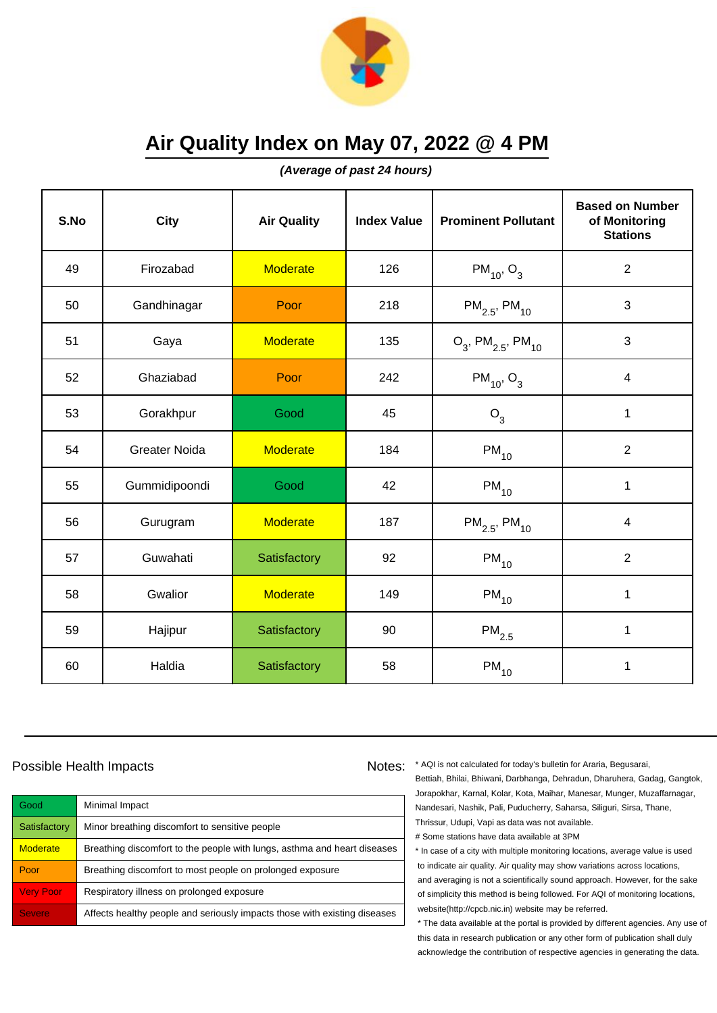

**(Average of past 24 hours)**

| S.No | City                 | <b>Air Quality</b> | <b>Index Value</b> | <b>Prominent Pollutant</b>                   | <b>Based on Number</b><br>of Monitoring<br><b>Stations</b> |
|------|----------------------|--------------------|--------------------|----------------------------------------------|------------------------------------------------------------|
| 49   | Firozabad            | <b>Moderate</b>    | 126                | $PM_{10}$ , O <sub>3</sub>                   | $\overline{2}$                                             |
| 50   | Gandhinagar          | Poor               | 218                | $PM_{2.5}$ , PM <sub>10</sub>                | 3                                                          |
| 51   | Gaya                 | <b>Moderate</b>    | 135                | $O_3$ , PM <sub>2.5</sub> , PM <sub>10</sub> | 3                                                          |
| 52   | Ghaziabad            | Poor               | 242                | $PM_{10}$ , O <sub>3</sub>                   | $\overline{\mathbf{4}}$                                    |
| 53   | Gorakhpur            | Good               | 45                 | $O_3$                                        | $\mathbf{1}$                                               |
| 54   | <b>Greater Noida</b> | <b>Moderate</b>    | 184                | $PM_{10}$                                    | $\overline{2}$                                             |
| 55   | Gummidipoondi        | Good               | 42                 | $PM_{10}$                                    | $\mathbf{1}$                                               |
| 56   | Gurugram             | <b>Moderate</b>    | 187                | $PM_{2.5}$ , PM <sub>10</sub>                | $\overline{4}$                                             |
| 57   | Guwahati             | Satisfactory       | 92                 | $PM_{10}$                                    | $\overline{2}$                                             |
| 58   | Gwalior              | <b>Moderate</b>    | 149                | $PM_{10}$                                    | $\mathbf{1}$                                               |
| 59   | Hajipur              | Satisfactory       | 90                 | $\mathsf{PM}_{2.5}$                          | 1                                                          |
| 60   | Haldia               | Satisfactory       | 58                 | $PM_{10}$                                    | 1                                                          |

#### Possible Health Impacts

| Good             | Minimal Impact                                                            |
|------------------|---------------------------------------------------------------------------|
| Satisfactory     | Minor breathing discomfort to sensitive people                            |
| <b>Moderate</b>  | Breathing discomfort to the people with lungs, asthma and heart diseases  |
| Poor             | Breathing discomfort to most people on prolonged exposure                 |
| <b>Very Poor</b> | Respiratory illness on prolonged exposure                                 |
| <b>Severe</b>    | Affects healthy people and seriously impacts those with existing diseases |

Notes: \* AQI is not calculated for today's bulletin for Araria, Begusarai, Bettiah, Bhilai, Bhiwani, Darbhanga, Dehradun, Dharuhera, Gadag, Gangtok, Jorapokhar, Karnal, Kolar, Kota, Maihar, Manesar, Munger, Muzaffarnagar, Nandesari, Nashik, Pali, Puducherry, Saharsa, Siliguri, Sirsa, Thane, Thrissur, Udupi, Vapi as data was not available. # Some stations have data available at 3PM

> \* In case of a city with multiple monitoring locations, average value is used to indicate air quality. Air quality may show variations across locations, and averaging is not a scientifically sound approach. However, for the sake of simplicity this method is being followed. For AQI of monitoring locations, website(http://cpcb.nic.in) website may be referred.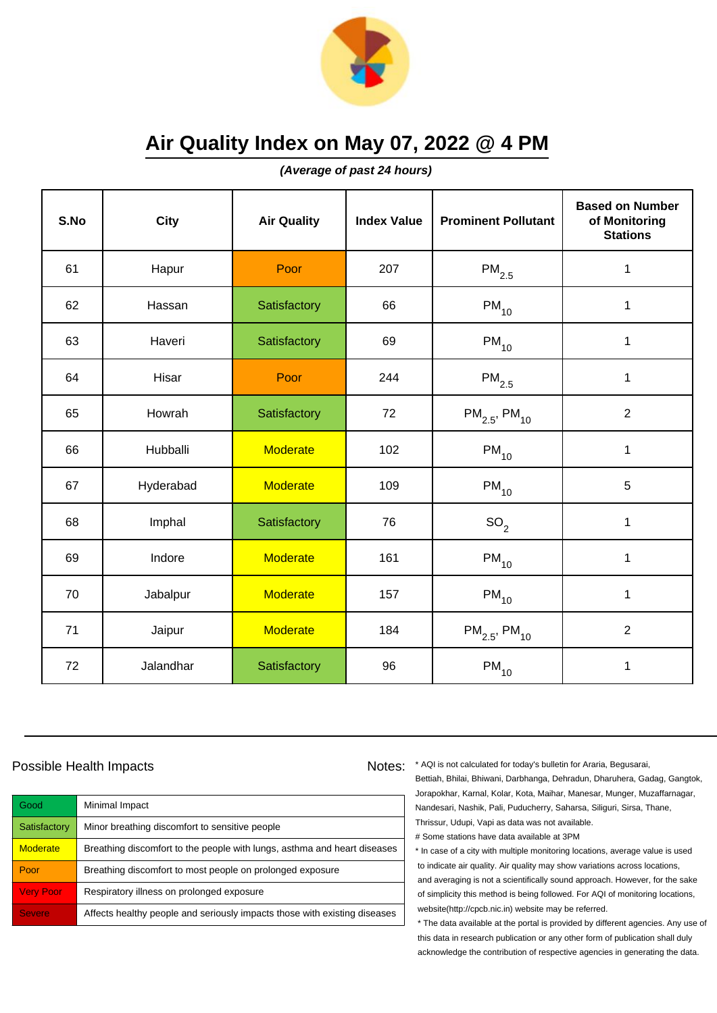

**(Average of past 24 hours)**

| S.No | <b>City</b> | <b>Air Quality</b> | <b>Index Value</b> | <b>Prominent Pollutant</b>    | <b>Based on Number</b><br>of Monitoring<br><b>Stations</b> |
|------|-------------|--------------------|--------------------|-------------------------------|------------------------------------------------------------|
| 61   | Hapur       | Poor               | 207                | $PM_{2.5}$                    | $\mathbf 1$                                                |
| 62   | Hassan      | Satisfactory       | 66                 | $PM_{10}$                     | 1                                                          |
| 63   | Haveri      | Satisfactory       | 69                 | $PM_{10}$                     | 1                                                          |
| 64   | Hisar       | Poor               | 244                | $PM_{2.5}$                    | 1                                                          |
| 65   | Howrah      | Satisfactory       | 72                 | $PM_{2.5}$ , PM <sub>10</sub> | $\overline{2}$                                             |
| 66   | Hubballi    | <b>Moderate</b>    | 102                | $PM_{10}$                     | $\mathbf 1$                                                |
| 67   | Hyderabad   | <b>Moderate</b>    | 109                | $PM_{10}$                     | 5                                                          |
| 68   | Imphal      | Satisfactory       | 76                 | SO <sub>2</sub>               | 1                                                          |
| 69   | Indore      | Moderate           | 161                | $PM_{10}$                     | $\mathbf 1$                                                |
| 70   | Jabalpur    | <b>Moderate</b>    | 157                | $PM_{10}$                     | 1                                                          |
| 71   | Jaipur      | <b>Moderate</b>    | 184                | $PM_{2.5}$ , PM <sub>10</sub> | $\overline{2}$                                             |
| 72   | Jalandhar   | Satisfactory       | 96                 | $\mathsf{PM}_{10}$            | 1                                                          |

#### Possible Health Impacts

| Good             | Minimal Impact                                                            |
|------------------|---------------------------------------------------------------------------|
| Satisfactory     | Minor breathing discomfort to sensitive people                            |
| <b>Moderate</b>  | Breathing discomfort to the people with lungs, asthma and heart diseases  |
| Poor             | Breathing discomfort to most people on prolonged exposure                 |
| <b>Very Poor</b> | Respiratory illness on prolonged exposure                                 |
| <b>Severe</b>    | Affects healthy people and seriously impacts those with existing diseases |

Notes: \* AQI is not calculated for today's bulletin for Araria, Begusarai, Bettiah, Bhilai, Bhiwani, Darbhanga, Dehradun, Dharuhera, Gadag, Gangtok, Jorapokhar, Karnal, Kolar, Kota, Maihar, Manesar, Munger, Muzaffarnagar, Nandesari, Nashik, Pali, Puducherry, Saharsa, Siliguri, Sirsa, Thane, Thrissur, Udupi, Vapi as data was not available. # Some stations have data available at 3PM

> \* In case of a city with multiple monitoring locations, average value is used to indicate air quality. Air quality may show variations across locations, and averaging is not a scientifically sound approach. However, for the sake of simplicity this method is being followed. For AQI of monitoring locations, website(http://cpcb.nic.in) website may be referred.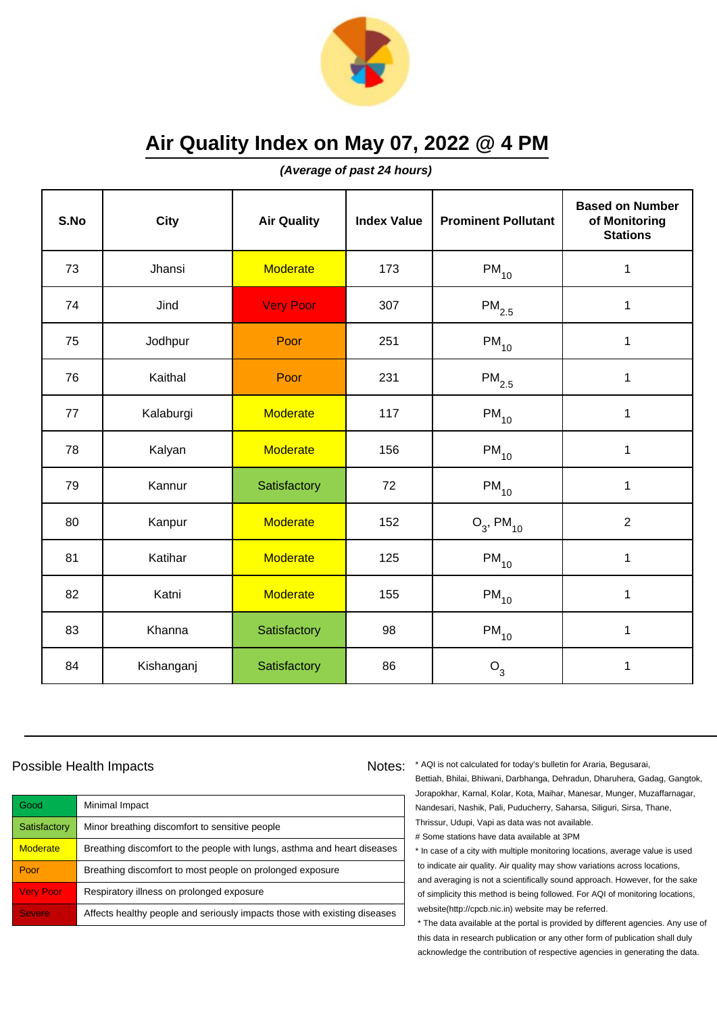

**(Average of past 24 hours)**

| S.No | <b>City</b> | <b>Air Quality</b> | <b>Index Value</b> | <b>Prominent Pollutant</b> | <b>Based on Number</b><br>of Monitoring<br><b>Stations</b> |
|------|-------------|--------------------|--------------------|----------------------------|------------------------------------------------------------|
| 73   | Jhansi      | <b>Moderate</b>    | 173                | $PM_{10}$                  | $\mathbf 1$                                                |
| 74   | Jind        | <b>Very Poor</b>   | 307                | $PM_{2.5}$                 | $\mathbf 1$                                                |
| 75   | Jodhpur     | Poor               | 251                | $PM_{10}$                  | 1                                                          |
| 76   | Kaithal     | Poor               | 231                | $\mathsf{PM}_{2.5}$        | $\mathbf{1}$                                               |
| 77   | Kalaburgi   | <b>Moderate</b>    | 117                | $PM_{10}$                  | $\mathbf 1$                                                |
| 78   | Kalyan      | <b>Moderate</b>    | 156                | $PM_{10}$                  | $\mathbf{1}$                                               |
| 79   | Kannur      | Satisfactory       | 72                 | $PM_{10}$                  | $\mathbf 1$                                                |
| 80   | Kanpur      | <b>Moderate</b>    | 152                | $O_3$ , PM <sub>10</sub>   | $\overline{2}$                                             |
| 81   | Katihar     | <b>Moderate</b>    | 125                | $PM_{10}$                  | $\mathbf 1$                                                |
| 82   | Katni       | <b>Moderate</b>    | 155                | $PM_{10}$                  | $\mathbf 1$                                                |
| 83   | Khanna      | Satisfactory       | 98                 | $PM_{10}$                  | 1                                                          |
| 84   | Kishanganj  | Satisfactory       | 86                 | $O_3$                      | $\mathbf 1$                                                |

#### Possible Health Impacts

Good Minimal Impact Satisfactory | Minor breathing discomfort to sensitive people Moderate **Breathing discomfort to the people with lungs**, asthma and heart diseases Poor **Breathing discomfort to most people on prolonged exposure** Very Poor Respiratory illness on prolonged exposure Severe **Affects healthy people and seriously impacts those with existing diseases** 

Notes: \* AQI is not calculated for today's bulletin for Araria, Begusarai, Bettiah, Bhilai, Bhiwani, Darbhanga, Dehradun, Dharuhera, Gadag, Gangtok, Jorapokhar, Karnal, Kolar, Kota, Maihar, Manesar, Munger, Muzaffarnagar, Nandesari, Nashik, Pali, Puducherry, Saharsa, Siliguri, Sirsa, Thane, Thrissur, Udupi, Vapi as data was not available. # Some stations have data available at 3PM

> \* In case of a city with multiple monitoring locations, average value is used to indicate air quality. Air quality may show variations across locations, and averaging is not a scientifically sound approach. However, for the sake of simplicity this method is being followed. For AQI of monitoring locations, website(http://cpcb.nic.in) website may be referred.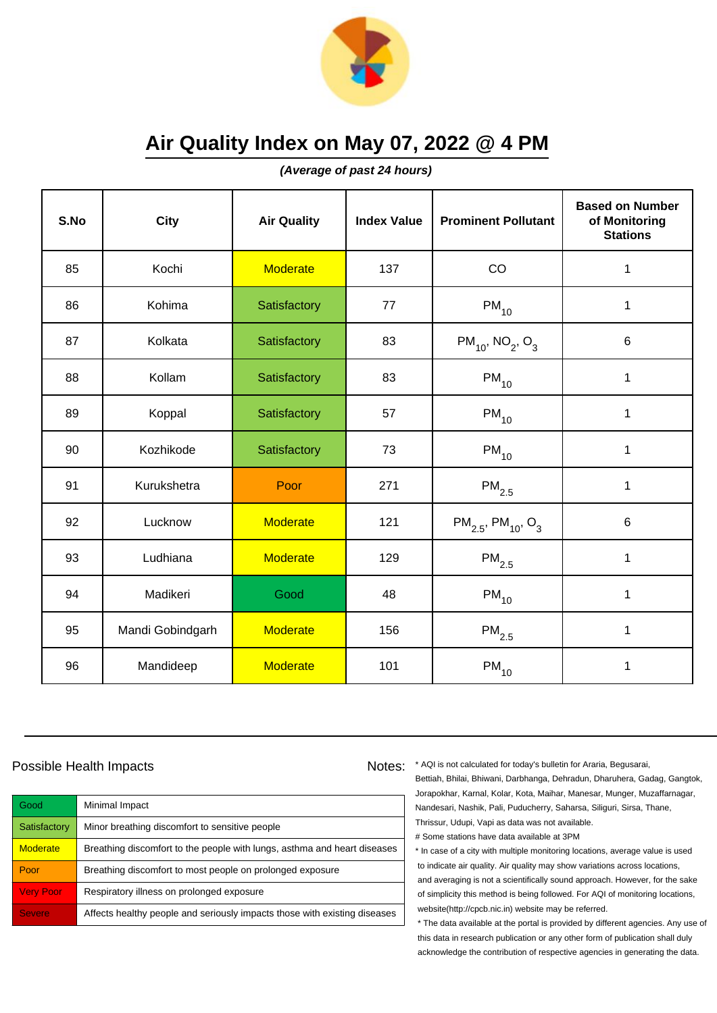

**(Average of past 24 hours)**

| S.No | <b>City</b>      | <b>Air Quality</b> | <b>Index Value</b> | <b>Prominent Pollutant</b>                     | <b>Based on Number</b><br>of Monitoring<br><b>Stations</b> |
|------|------------------|--------------------|--------------------|------------------------------------------------|------------------------------------------------------------|
| 85   | Kochi            | <b>Moderate</b>    | 137                | CO                                             | $\mathbf 1$                                                |
| 86   | Kohima           | Satisfactory       | 77                 | $PM_{10}$                                      | 1                                                          |
| 87   | Kolkata          | Satisfactory       | 83                 | $PM_{10}$ , NO <sub>2</sub> , O <sub>3</sub>   | 6                                                          |
| 88   | Kollam           | Satisfactory       | 83                 | $PM_{10}$                                      | 1                                                          |
| 89   | Koppal           | Satisfactory       | 57                 | $PM_{10}$                                      | $\mathbf{1}$                                               |
| 90   | Kozhikode        | Satisfactory       | 73                 | $PM_{10}$                                      | 1                                                          |
| 91   | Kurukshetra      | Poor               | 271                | $PM_{2.5}$                                     | $\mathbf{1}$                                               |
| 92   | Lucknow          | <b>Moderate</b>    | 121                | $PM_{2.5}$ , PM <sub>10</sub> , O <sub>3</sub> | 6                                                          |
| 93   | Ludhiana         | <b>Moderate</b>    | 129                | $PM_{2.5}$                                     | $\mathbf 1$                                                |
| 94   | Madikeri         | Good               | 48                 | $PM_{10}$                                      | $\mathbf 1$                                                |
| 95   | Mandi Gobindgarh | <b>Moderate</b>    | 156                | $PM_{2.5}$                                     | 1                                                          |
| 96   | Mandideep        | <b>Moderate</b>    | 101                | $\mathsf{PM}_{10}$                             | $\mathbf 1$                                                |

#### Possible Health Impacts

Good Minimal Impact Satisfactory | Minor breathing discomfort to sensitive people Moderate **Breathing discomfort to the people with lungs**, asthma and heart diseases Poor **Breathing discomfort to most people on prolonged exposure** Very Poor Respiratory illness on prolonged exposure Severe **Affects healthy people and seriously impacts those with existing diseases** 

Notes: \* AQI is not calculated for today's bulletin for Araria, Begusarai, Bettiah, Bhilai, Bhiwani, Darbhanga, Dehradun, Dharuhera, Gadag, Gangtok, Jorapokhar, Karnal, Kolar, Kota, Maihar, Manesar, Munger, Muzaffarnagar, Nandesari, Nashik, Pali, Puducherry, Saharsa, Siliguri, Sirsa, Thane, Thrissur, Udupi, Vapi as data was not available. # Some stations have data available at 3PM

> \* In case of a city with multiple monitoring locations, average value is used to indicate air quality. Air quality may show variations across locations, and averaging is not a scientifically sound approach. However, for the sake of simplicity this method is being followed. For AQI of monitoring locations, website(http://cpcb.nic.in) website may be referred.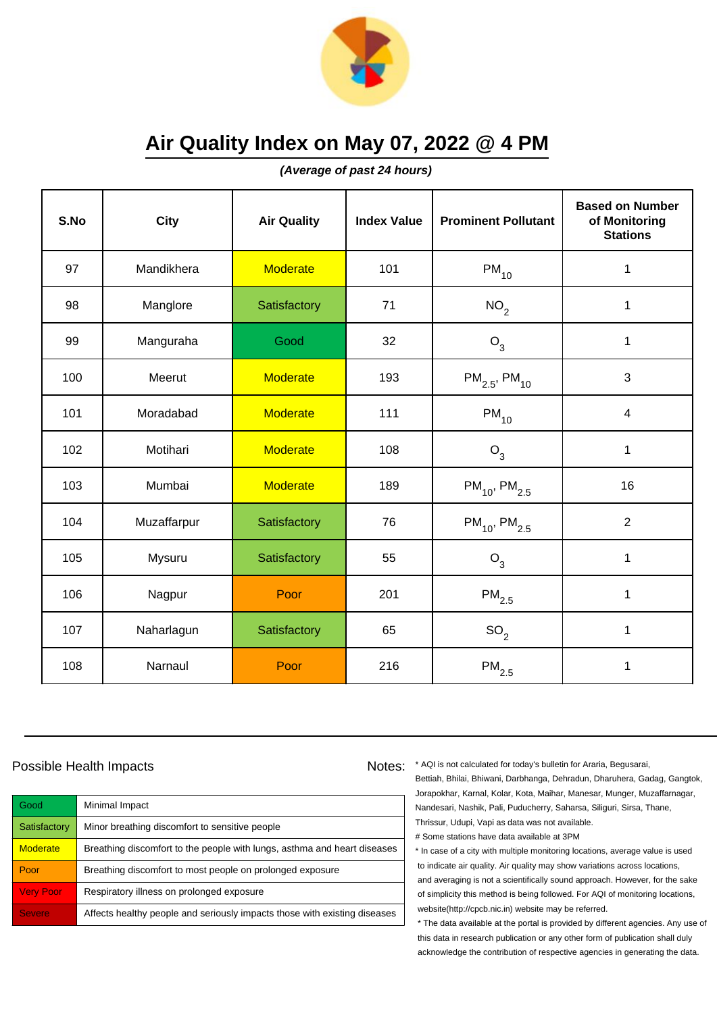

**(Average of past 24 hours)**

| S.No | City        | <b>Air Quality</b> | <b>Index Value</b> | <b>Prominent Pollutant</b>    | <b>Based on Number</b><br>of Monitoring<br><b>Stations</b> |
|------|-------------|--------------------|--------------------|-------------------------------|------------------------------------------------------------|
| 97   | Mandikhera  | <b>Moderate</b>    | 101                | $PM_{10}$                     | 1                                                          |
| 98   | Manglore    | Satisfactory       | 71                 | NO <sub>2</sub>               | $\mathbf 1$                                                |
| 99   | Manguraha   | Good               | 32                 | $O_3$                         | 1                                                          |
| 100  | Meerut      | <b>Moderate</b>    | 193                | $PM_{2.5}$ , PM <sub>10</sub> | 3                                                          |
| 101  | Moradabad   | <b>Moderate</b>    | 111                | $PM_{10}$                     | $\overline{4}$                                             |
| 102  | Motihari    | <b>Moderate</b>    | 108                | $O_3$                         | 1                                                          |
| 103  | Mumbai      | <b>Moderate</b>    | 189                | $PM_{10}$ , PM <sub>2.5</sub> | 16                                                         |
| 104  | Muzaffarpur | Satisfactory       | 76                 | $PM_{10}$ , PM <sub>2.5</sub> | $\overline{2}$                                             |
| 105  | Mysuru      | Satisfactory       | 55                 | O <sub>3</sub>                | $\mathbf 1$                                                |
| 106  | Nagpur      | Poor               | 201                | $\mathsf{PM}_{2.5}$           | 1                                                          |
| 107  | Naharlagun  | Satisfactory       | 65                 | SO <sub>2</sub>               | 1                                                          |
| 108  | Narnaul     | Poor               | 216                | $\mathsf{PM}_{2.5}$           | 1                                                          |

#### Possible Health Impacts

| Good             | Minimal Impact                                                            |
|------------------|---------------------------------------------------------------------------|
| Satisfactory     | Minor breathing discomfort to sensitive people                            |
| <b>Moderate</b>  | Breathing discomfort to the people with lungs, asthma and heart diseases  |
| Poor             | Breathing discomfort to most people on prolonged exposure                 |
| <b>Very Poor</b> | Respiratory illness on prolonged exposure                                 |
| <b>Severe</b>    | Affects healthy people and seriously impacts those with existing diseases |

Notes: \* AQI is not calculated for today's bulletin for Araria, Begusarai, Bettiah, Bhilai, Bhiwani, Darbhanga, Dehradun, Dharuhera, Gadag, Gangtok, Jorapokhar, Karnal, Kolar, Kota, Maihar, Manesar, Munger, Muzaffarnagar, Nandesari, Nashik, Pali, Puducherry, Saharsa, Siliguri, Sirsa, Thane, Thrissur, Udupi, Vapi as data was not available. # Some stations have data available at 3PM

> \* In case of a city with multiple monitoring locations, average value is used to indicate air quality. Air quality may show variations across locations, and averaging is not a scientifically sound approach. However, for the sake of simplicity this method is being followed. For AQI of monitoring locations, website(http://cpcb.nic.in) website may be referred.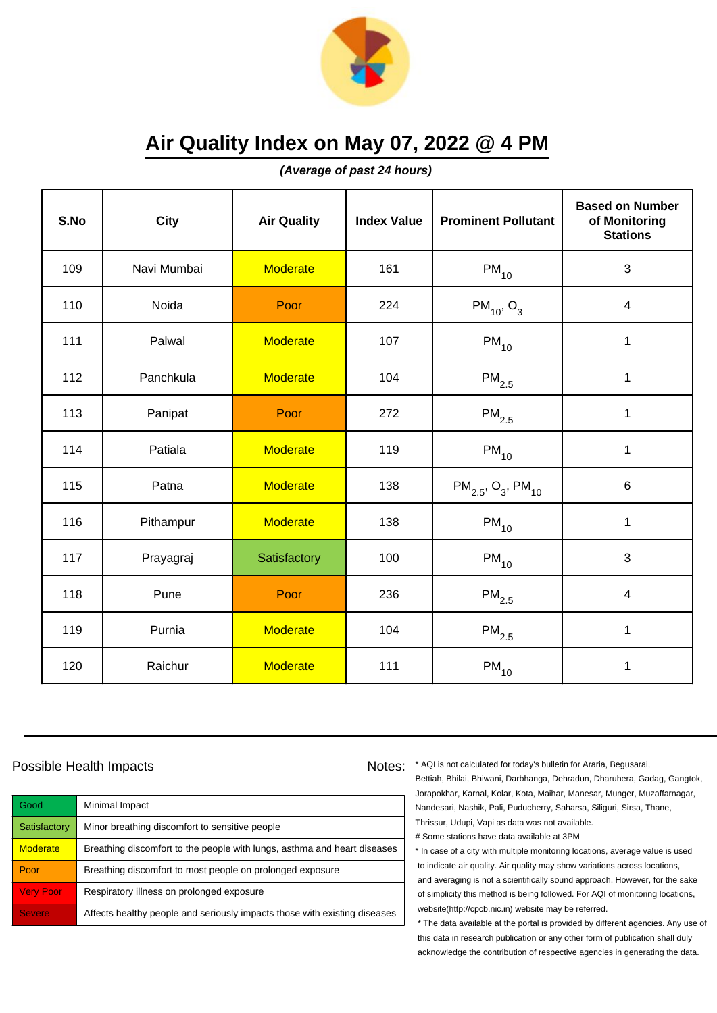

**(Average of past 24 hours)**

| S.No | <b>City</b> | <b>Air Quality</b> | <b>Index Value</b> | <b>Prominent Pollutant</b>                     | <b>Based on Number</b><br>of Monitoring<br><b>Stations</b> |
|------|-------------|--------------------|--------------------|------------------------------------------------|------------------------------------------------------------|
| 109  | Navi Mumbai | <b>Moderate</b>    | 161                | $PM_{10}$                                      | 3                                                          |
| 110  | Noida       | Poor               | 224                | $PM_{10}$ , O <sub>3</sub>                     | 4                                                          |
| 111  | Palwal      | <b>Moderate</b>    | 107                | $PM_{10}$                                      | 1                                                          |
| 112  | Panchkula   | <b>Moderate</b>    | 104                | $\mathsf{PM}_{2.5}$                            | 1                                                          |
| 113  | Panipat     | Poor               | 272                | $PM_{2.5}$                                     | $\mathbf 1$                                                |
| 114  | Patiala     | Moderate           | 119                | $PM_{10}$                                      | 1                                                          |
| 115  | Patna       | <b>Moderate</b>    | 138                | $PM_{2.5}$ , O <sub>3</sub> , PM <sub>10</sub> | $6\phantom{1}$                                             |
| 116  | Pithampur   | <b>Moderate</b>    | 138                | $PM_{10}$                                      | $\mathbf 1$                                                |
| 117  | Prayagraj   | Satisfactory       | 100                | $PM_{10}$                                      | 3                                                          |
| 118  | Pune        | Poor               | 236                | $\mathsf{PM}_{2.5}$                            | 4                                                          |
| 119  | Purnia      | <b>Moderate</b>    | 104                | $PM_{2.5}$                                     | 1                                                          |
| 120  | Raichur     | <b>Moderate</b>    | 111                | $\mathsf{PM}_{10}$                             | 1                                                          |

#### Possible Health Impacts

Good Minimal Impact Satisfactory | Minor breathing discomfort to sensitive people Moderate **Breathing discomfort to the people with lungs**, asthma and heart diseases Poor **Breathing discomfort to most people on prolonged exposure** Very Poor Respiratory illness on prolonged exposure Severe **Affects healthy people and seriously impacts those with existing diseases** 

Notes: \* AQI is not calculated for today's bulletin for Araria, Begusarai, Bettiah, Bhilai, Bhiwani, Darbhanga, Dehradun, Dharuhera, Gadag, Gangtok, Jorapokhar, Karnal, Kolar, Kota, Maihar, Manesar, Munger, Muzaffarnagar, Nandesari, Nashik, Pali, Puducherry, Saharsa, Siliguri, Sirsa, Thane, Thrissur, Udupi, Vapi as data was not available. # Some stations have data available at 3PM

> \* In case of a city with multiple monitoring locations, average value is used to indicate air quality. Air quality may show variations across locations, and averaging is not a scientifically sound approach. However, for the sake of simplicity this method is being followed. For AQI of monitoring locations, website(http://cpcb.nic.in) website may be referred.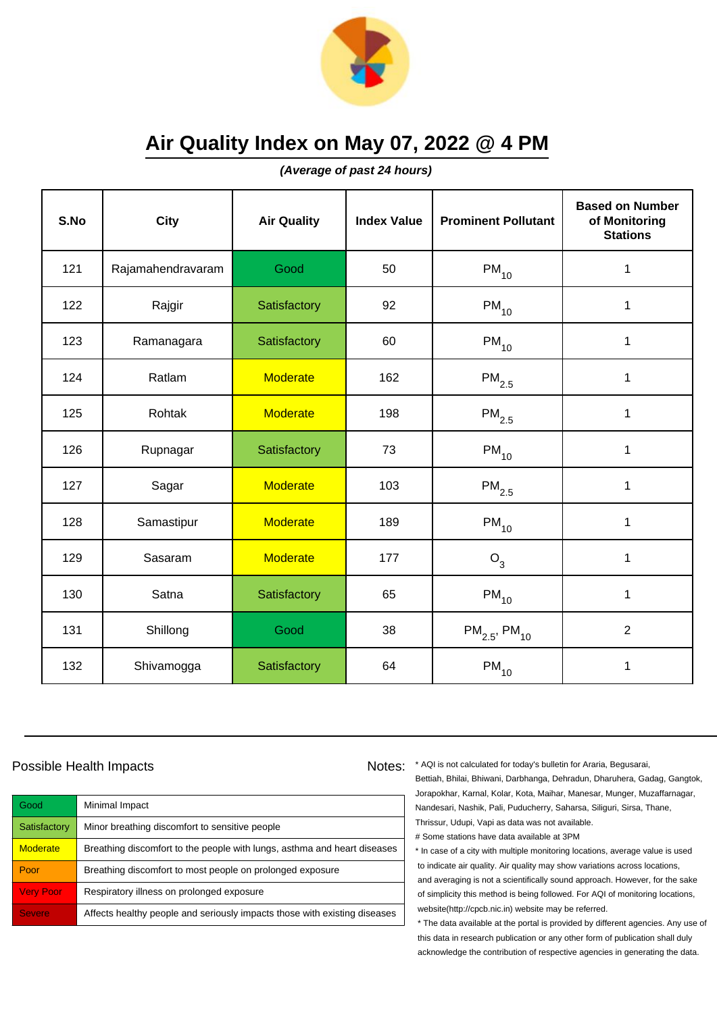

**(Average of past 24 hours)**

| S.No | City              | <b>Air Quality</b> | <b>Index Value</b> | <b>Prominent Pollutant</b>    | <b>Based on Number</b><br>of Monitoring<br><b>Stations</b> |
|------|-------------------|--------------------|--------------------|-------------------------------|------------------------------------------------------------|
| 121  | Rajamahendravaram | Good               | 50                 | $PM_{10}$                     | 1                                                          |
| 122  | Rajgir            | Satisfactory       | 92                 | $\mathsf{PM}_{10}$            | 1                                                          |
| 123  | Ramanagara        | Satisfactory       | 60                 | $PM_{10}$                     | 1                                                          |
| 124  | Ratlam            | <b>Moderate</b>    | 162                | $PM_{2.5}$                    | 1                                                          |
| 125  | Rohtak            | <b>Moderate</b>    | 198                | $PM_{2.5}$                    | $\mathbf{1}$                                               |
| 126  | Rupnagar          | Satisfactory       | 73                 | $\mathsf{PM}_{10}$            | 1                                                          |
| 127  | Sagar             | <b>Moderate</b>    | 103                | $PM_{2.5}$                    | $\mathbf{1}$                                               |
| 128  | Samastipur        | <b>Moderate</b>    | 189                | $PM_{10}$                     | 1                                                          |
| 129  | Sasaram           | <b>Moderate</b>    | 177                | $O_3$                         | 1                                                          |
| 130  | Satna             | Satisfactory       | 65                 | $PM_{10}$                     | 1                                                          |
| 131  | Shillong          | Good               | 38                 | $PM_{2.5}$ , PM <sub>10</sub> | $\overline{2}$                                             |
| 132  | Shivamogga        | Satisfactory       | 64                 | $\mathsf{PM}_{10}$            | 1                                                          |

#### Possible Health Impacts

| Good             | Minimal Impact                                                            |
|------------------|---------------------------------------------------------------------------|
| Satisfactory     | Minor breathing discomfort to sensitive people                            |
| <b>Moderate</b>  | Breathing discomfort to the people with lungs, asthma and heart diseases  |
| Poor             | Breathing discomfort to most people on prolonged exposure                 |
| <b>Very Poor</b> | Respiratory illness on prolonged exposure                                 |
| <b>Severe</b>    | Affects healthy people and seriously impacts those with existing diseases |

Notes: \* AQI is not calculated for today's bulletin for Araria, Begusarai, Bettiah, Bhilai, Bhiwani, Darbhanga, Dehradun, Dharuhera, Gadag, Gangtok, Jorapokhar, Karnal, Kolar, Kota, Maihar, Manesar, Munger, Muzaffarnagar, Nandesari, Nashik, Pali, Puducherry, Saharsa, Siliguri, Sirsa, Thane, Thrissur, Udupi, Vapi as data was not available. # Some stations have data available at 3PM

> \* In case of a city with multiple monitoring locations, average value is used to indicate air quality. Air quality may show variations across locations, and averaging is not a scientifically sound approach. However, for the sake of simplicity this method is being followed. For AQI of monitoring locations, website(http://cpcb.nic.in) website may be referred.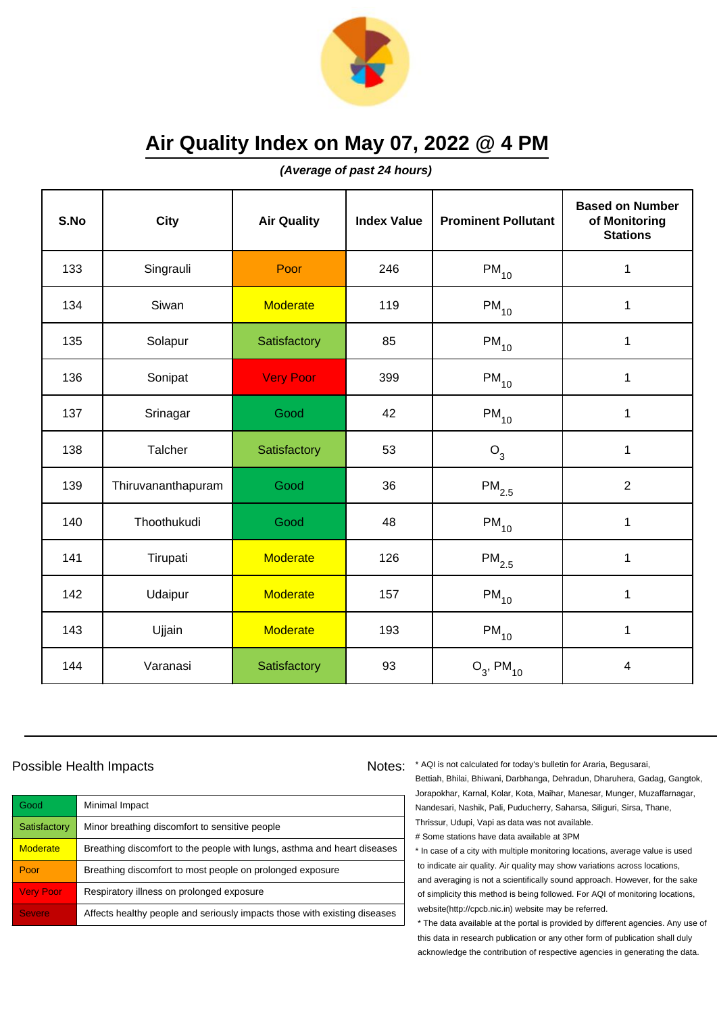

**(Average of past 24 hours)**

| S.No | <b>City</b>        | <b>Air Quality</b> | <b>Index Value</b> | <b>Prominent Pollutant</b> | <b>Based on Number</b><br>of Monitoring<br><b>Stations</b> |
|------|--------------------|--------------------|--------------------|----------------------------|------------------------------------------------------------|
| 133  | Singrauli          | Poor               | 246                | $\mathsf{PM}_{10}$         | 1                                                          |
| 134  | Siwan              | <b>Moderate</b>    | 119                | $\mathsf{PM}_{10}$         | 1                                                          |
| 135  | Solapur            | Satisfactory       | 85                 | $PM_{10}$                  | $\mathbf 1$                                                |
| 136  | Sonipat            | <b>Very Poor</b>   | 399                | $PM_{10}$                  | $\mathbf 1$                                                |
| 137  | Srinagar           | Good               | 42                 | $\mathsf{PM}_{10}$         | $\mathbf 1$                                                |
| 138  | Talcher            | Satisfactory       | 53                 | $O_3$                      | 1                                                          |
| 139  | Thiruvananthapuram | Good               | 36                 | $\mathsf{PM}_{2.5}$        | $\overline{2}$                                             |
| 140  | Thoothukudi        | Good               | 48                 | $PM_{10}$                  | 1                                                          |
| 141  | Tirupati           | <b>Moderate</b>    | 126                | $PM_{2.5}$                 | $\mathbf 1$                                                |
| 142  | Udaipur            | <b>Moderate</b>    | 157                | $PM_{10}$                  | 1                                                          |
| 143  | Ujjain             | <b>Moderate</b>    | 193                | $PM_{10}$                  | 1                                                          |
| 144  | Varanasi           | Satisfactory       | 93                 | $O_3$ , PM <sub>10</sub>   | $\overline{\mathbf{4}}$                                    |

#### Possible Health Impacts

| Good             | Minimal Impact                                                            |
|------------------|---------------------------------------------------------------------------|
| Satisfactory     | Minor breathing discomfort to sensitive people                            |
| <b>Moderate</b>  | Breathing discomfort to the people with lungs, asthma and heart diseases  |
| Poor             | Breathing discomfort to most people on prolonged exposure                 |
| <b>Very Poor</b> | Respiratory illness on prolonged exposure                                 |
| <b>Severe</b>    | Affects healthy people and seriously impacts those with existing diseases |

Notes: \* AQI is not calculated for today's bulletin for Araria, Begusarai, Bettiah, Bhilai, Bhiwani, Darbhanga, Dehradun, Dharuhera, Gadag, Gangtok, Jorapokhar, Karnal, Kolar, Kota, Maihar, Manesar, Munger, Muzaffarnagar, Nandesari, Nashik, Pali, Puducherry, Saharsa, Siliguri, Sirsa, Thane, Thrissur, Udupi, Vapi as data was not available. # Some stations have data available at 3PM

> \* In case of a city with multiple monitoring locations, average value is used to indicate air quality. Air quality may show variations across locations, and averaging is not a scientifically sound approach. However, for the sake of simplicity this method is being followed. For AQI of monitoring locations, website(http://cpcb.nic.in) website may be referred.